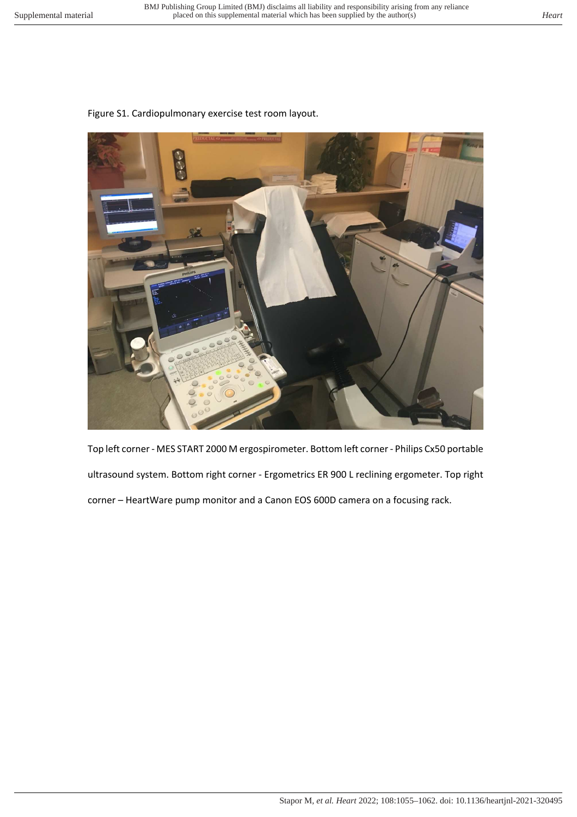## Figure S1. Cardiopulmonary exercise test room layout.



Top left corner - MES START 2000 M ergospirometer. Bottom left corner - Philips Cx50 portable ultrasound system. Bottom right corner - Ergometrics ER 900 L reclining ergometer. Top right corner – HeartWare pump monitor and a Canon EOS 600D camera on a focusing rack.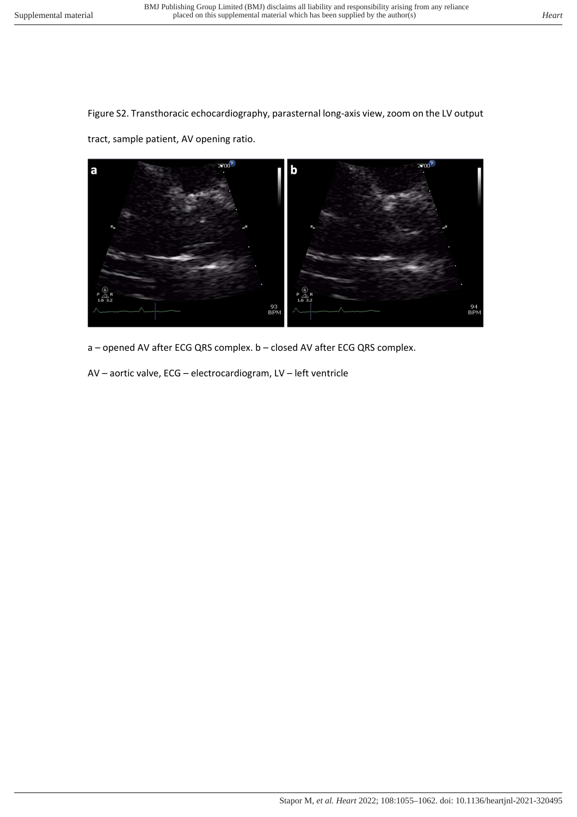Figure S2. Transthoracic echocardiography, parasternal long-axis view, zoom on the LV output

tract, sample patient, AV opening ratio.



a – opened AV after ECG QRS complex. b – closed AV after ECG QRS complex.

AV – aortic valve, ECG – electrocardiogram, LV – left ventricle